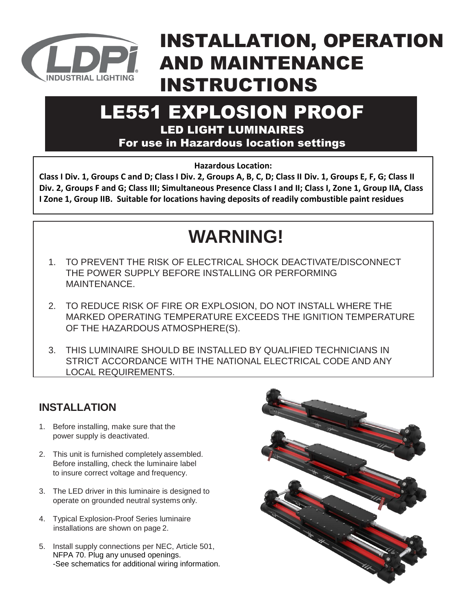

### INSTALLATION, OPERATION AND MAINTENANCE INSTRUCTIONS

### LE551 EXPLOSION PROOF LED LIGHT LUMINAIRES

For use in Hazardous location settings

**Hazardous Location:**

**Class I Div. 1, Groups C and D; Class I Div. 2, Groups A, B, C, D; Class II Div. 1, Groups E, F, G; Class II Div. 2, Groups F and G; Class III; Simultaneous Presence Class I and II; Class I, Zone 1, Group IIA, Class I Zone 1, Group IIB. Suitable for locations having deposits of readily combustible paint residues**

### **WARNING!**

- 1. TO PREVENT THE RISK OF ELECTRICAL SHOCK DEACTIVATE/DISCONNECT THE POWER SUPPLY BEFORE INSTALLING OR PERFORMING MAINTENANCE.
- 2. TO REDUCE RISK OF FIRE OR EXPLOSION, DO NOT INSTALL WHERE THE MARKED OPERATING TEMPERATURE EXCEEDS THE IGNITION TEMPERATURE OF THE HAZARDOUS ATMOSPHERE(S).
- 3. THIS LUMINAIRE SHOULD BE INSTALLED BY QUALIFIED TECHNICIANS IN STRICT ACCORDANCE WITH THE NATIONAL ELECTRICAL CODE AND ANY LOCAL REQUIREMENTS.

### **INSTALLATION**

- 1. Before installing, make sure that the power supply is deactivated.
- 2. This unit is furnished completely assembled. Before installing, check the luminaire label to insure correct voltage and frequency.
- 3. The LED driver in this luminaire is designed to operate on grounded neutral systems only.
- 4. Typical Explosion-Proof Series luminaire installations are shown on page 2.
- 5. Install supply connections per NEC, Article 501, NFPA 70. Plug any unused openings. -See schematics for additional wiring information.

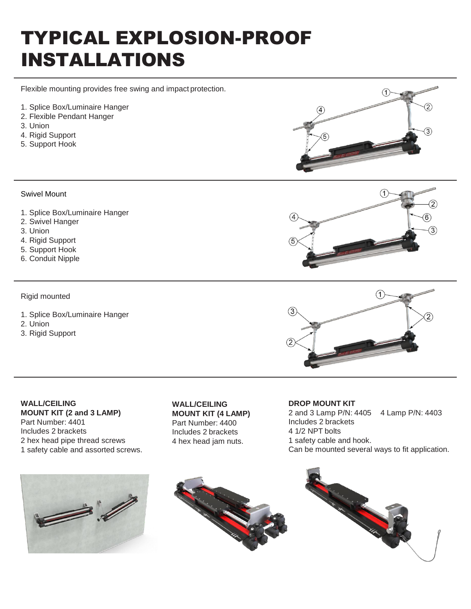## TYPICAL EXPLOSION-PROOF INSTALLATIONS

Flexible mounting provides free swing and impact protection.

- 1. Splice Box/Luminaire Hanger
- 2. Flexible Pendant Hanger
- 3. Union
- 4. Rigid Support
- 5. Support Hook



#### Swivel Mount

- 1. Splice Box/Luminaire Hanger
- 2. Swivel Hanger
- 3. Union
- 4. Rigid Support
- 5. Support Hook
- 6. Conduit Nipple

#### Rigid mounted

- 1. Splice Box/Luminaire Hanger
- 2. Union
- 3. Rigid Support

 $\bigcap$  $\circled{3}$ 

#### **WALL/CEILING MOUNT KIT (2 and 3 LAMP)** Part Number: 4401 Includes 2 brackets 2 hex head pipe thread screws 1 safety cable and assorted screws.

**WALL/CEILING MOUNT KIT (4 LAMP)** Part Number: 4400 Includes 2 brackets 4 hex head jam nuts.

#### **DROP MOUNT KIT** 2 and 3 Lamp P/N: 4405 4 Lamp P/N: 4403 Includes 2 brackets 4 1/2 NPT bolts 1 safety cable and hook. Can be mounted several ways to fit application.





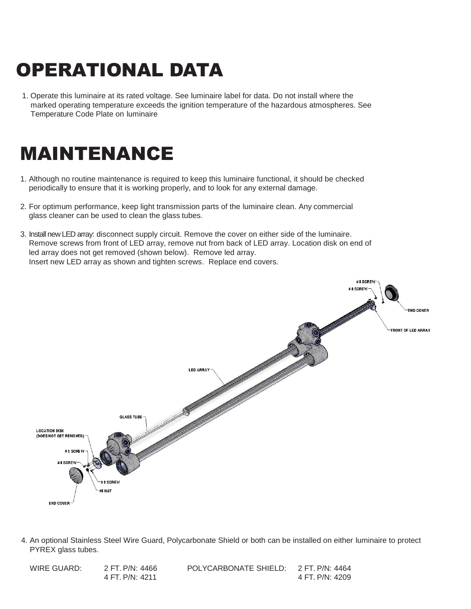# OPERATIONAL DATA

1. Operate this luminaire at its rated voltage. See luminaire label for data. Do not install where the marked operating temperature exceeds the ignition temperature of the hazardous atmospheres. See Temperature Code Plate on luminaire

### MAINTENANCE

- 1. Although no routine maintenance is required to keep this luminaire functional, it should be checked periodically to ensure that it is working properly, and to look for any external damage.
- 2. For optimum performance, keep light transmission parts of the luminaire clean. Any commercial glass cleaner can be used to clean the glass tubes.
- 3. Install new LED array: disconnect supply circuit. Remove the cover on either side of the luminaire. Remove screws from front of LED array, remove nut from back of LED array. Location disk on end of led array does not get removed (shown below). Remove led array. Insert new LED array as shown and tighten screws. Replace end covers.



4. An optional Stainless Steel Wire Guard, Polycarbonate Shield or both can be installed on either luminaire to protect PYREX glass tubes.

| WIRE GUARD: | 2 FT P/N: 4466  | POLYCARBONATE SHIELD: | 2 FT. P/N: 4464 |
|-------------|-----------------|-----------------------|-----------------|
|             | 4 FT. P/N: 4211 |                       | 4 FT. P/N: 4209 |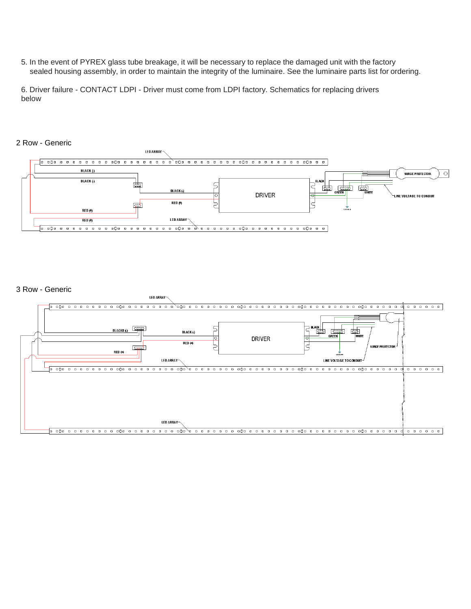5. In the event of PYREX glass tube breakage, it will be necessary to replace the damaged unit with the factory sealed housing assembly, in order to maintain the integrity of the luminaire. See the luminaire parts list for ordering.

6. Driver failure - CONTACT LDPI - Driver must come from LDPI factory. Schematics for replacing drivers below



#### 3 Row - Generic